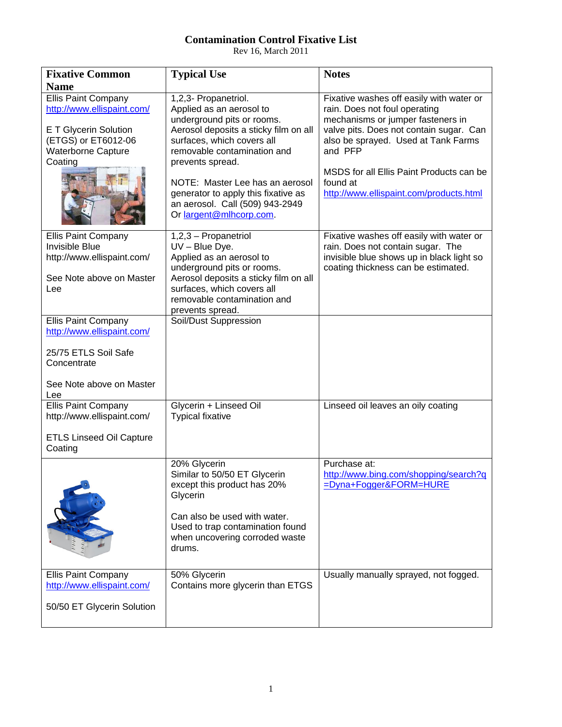| <b>Fixative Common</b>                                                                                                                           | <b>Typical Use</b>                                                                                                                                                                                                                                                                                                                               | <b>Notes</b>                                                                                                                                                                                                                                                                                                   |
|--------------------------------------------------------------------------------------------------------------------------------------------------|--------------------------------------------------------------------------------------------------------------------------------------------------------------------------------------------------------------------------------------------------------------------------------------------------------------------------------------------------|----------------------------------------------------------------------------------------------------------------------------------------------------------------------------------------------------------------------------------------------------------------------------------------------------------------|
| <b>Name</b>                                                                                                                                      |                                                                                                                                                                                                                                                                                                                                                  |                                                                                                                                                                                                                                                                                                                |
| <b>Ellis Paint Company</b><br>http://www.ellispaint.com/<br>E T Glycerin Solution<br>(ETGS) or ET6012-06<br><b>Waterborne Capture</b><br>Coating | 1,2,3- Propanetriol.<br>Applied as an aerosol to<br>underground pits or rooms.<br>Aerosol deposits a sticky film on all<br>surfaces, which covers all<br>removable contamination and<br>prevents spread.<br>NOTE: Master Lee has an aerosol<br>generator to apply this fixative as<br>an aerosol. Call (509) 943-2949<br>Or largent@mlhcorp.com. | Fixative washes off easily with water or<br>rain. Does not foul operating<br>mechanisms or jumper fasteners in<br>valve pits. Does not contain sugar. Can<br>also be sprayed. Used at Tank Farms<br>and PFP<br>MSDS for all Ellis Paint Products can be<br>found at<br>http://www.ellispaint.com/products.html |
| Ellis Paint Company<br>Invisible Blue<br>http://www.ellispaint.com/<br>See Note above on Master<br>Lee                                           | 1,2,3 - Propanetriol<br>UV - Blue Dye.<br>Applied as an aerosol to<br>underground pits or rooms.<br>Aerosol deposits a sticky film on all<br>surfaces, which covers all<br>removable contamination and<br>prevents spread.                                                                                                                       | Fixative washes off easily with water or<br>rain. Does not contain sugar. The<br>invisible blue shows up in black light so<br>coating thickness can be estimated.                                                                                                                                              |
| <b>Ellis Paint Company</b><br>http://www.ellispaint.com/<br>25/75 ETLS Soil Safe<br>Concentrate<br>See Note above on Master<br>Lee               | Soil/Dust Suppression                                                                                                                                                                                                                                                                                                                            |                                                                                                                                                                                                                                                                                                                |
| <b>Ellis Paint Company</b><br>http://www.ellispaint.com/<br><b>ETLS Linseed Oil Capture</b><br>Coating                                           | Glycerin + Linseed Oil<br><b>Typical fixative</b>                                                                                                                                                                                                                                                                                                | Linseed oil leaves an oily coating                                                                                                                                                                                                                                                                             |
|                                                                                                                                                  | 20% Glycerin<br>Similar to 50/50 ET Glycerin<br>except this product has 20%<br>Glycerin<br>Can also be used with water.<br>Used to trap contamination found<br>when uncovering corroded waste<br>drums.                                                                                                                                          | Purchase at:<br>http://www.bing.com/shopping/search?q<br>=Dyna+Fogger&FORM=HURE                                                                                                                                                                                                                                |
| <b>Ellis Paint Company</b><br>http://www.ellispaint.com/<br>50/50 ET Glycerin Solution                                                           | 50% Glycerin<br>Contains more glycerin than ETGS                                                                                                                                                                                                                                                                                                 | Usually manually sprayed, not fogged.                                                                                                                                                                                                                                                                          |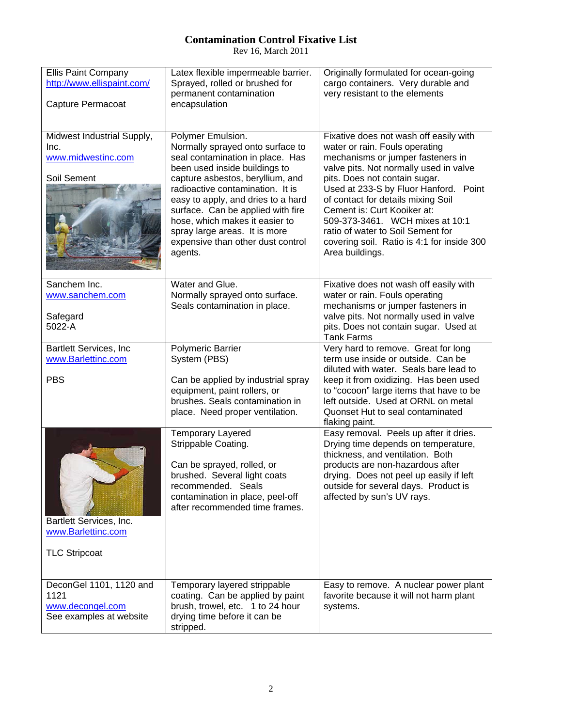| <b>Ellis Paint Company</b><br>http://www.ellispaint.com/<br>Capture Permacoat  | Latex flexible impermeable barrier.<br>Sprayed, rolled or brushed for<br>permanent contamination<br>encapsulation                                                                                                                                                                                                                                                                                | Originally formulated for ocean-going<br>cargo containers. Very durable and<br>very resistant to the elements                                                                                                                                                                                                                                                                                                                                   |
|--------------------------------------------------------------------------------|--------------------------------------------------------------------------------------------------------------------------------------------------------------------------------------------------------------------------------------------------------------------------------------------------------------------------------------------------------------------------------------------------|-------------------------------------------------------------------------------------------------------------------------------------------------------------------------------------------------------------------------------------------------------------------------------------------------------------------------------------------------------------------------------------------------------------------------------------------------|
| Midwest Industrial Supply,<br>Inc.<br>www.midwestinc.com<br>Soil Sement        | Polymer Emulsion.<br>Normally sprayed onto surface to<br>seal contamination in place. Has<br>been used inside buildings to<br>capture asbestos, beryllium, and<br>radioactive contamination. It is<br>easy to apply, and dries to a hard<br>surface. Can be applied with fire<br>hose, which makes it easier to<br>spray large areas. It is more<br>expensive than other dust control<br>agents. | Fixative does not wash off easily with<br>water or rain. Fouls operating<br>mechanisms or jumper fasteners in<br>valve pits. Not normally used in valve<br>pits. Does not contain sugar.<br>Used at 233-S by Fluor Hanford. Point<br>of contact for details mixing Soil<br>Cement is: Curt Kooiker at:<br>509-373-3461. WCH mixes at 10:1<br>ratio of water to Soil Sement for<br>covering soil. Ratio is 4:1 for inside 300<br>Area buildings. |
| Sanchem Inc.<br>www.sanchem.com<br>Safegard<br>5022-A                          | Water and Glue.<br>Normally sprayed onto surface.<br>Seals contamination in place.                                                                                                                                                                                                                                                                                                               | Fixative does not wash off easily with<br>water or rain. Fouls operating<br>mechanisms or jumper fasteners in<br>valve pits. Not normally used in valve<br>pits. Does not contain sugar. Used at<br><b>Tank Farms</b>                                                                                                                                                                                                                           |
| <b>Bartlett Services, Inc</b><br>www.Barlettinc.com                            | Polymeric Barrier<br>System (PBS)                                                                                                                                                                                                                                                                                                                                                                | Very hard to remove. Great for long<br>term use inside or outside. Can be<br>diluted with water. Seals bare lead to                                                                                                                                                                                                                                                                                                                             |
| <b>PBS</b>                                                                     | Can be applied by industrial spray<br>equipment, paint rollers, or<br>brushes. Seals contamination in<br>place. Need proper ventilation.                                                                                                                                                                                                                                                         | keep it from oxidizing. Has been used<br>to "cocoon" large items that have to be<br>left outside. Used at ORNL on metal<br>Quonset Hut to seal contaminated<br>flaking paint.                                                                                                                                                                                                                                                                   |
| Bartlett Services, Inc.<br>www.Barlettinc.com<br><b>TLC Stripcoat</b>          | <b>Temporary Layered</b><br>Strippable Coating.<br>Can be sprayed, rolled, or<br>brushed. Several light coats<br>recommended. Seals<br>contamination in place, peel-off<br>after recommended time frames.                                                                                                                                                                                        | Easy removal. Peels up after it dries.<br>Drying time depends on temperature,<br>thickness, and ventilation. Both<br>products are non-hazardous after<br>drying. Does not peel up easily if left<br>outside for several days. Product is<br>affected by sun's UV rays.                                                                                                                                                                          |
| DeconGel 1101, 1120 and<br>1121<br>www.decongel.com<br>See examples at website | Temporary layered strippable<br>coating. Can be applied by paint<br>brush, trowel, etc. 1 to 24 hour<br>drying time before it can be<br>stripped.                                                                                                                                                                                                                                                | Easy to remove. A nuclear power plant<br>favorite because it will not harm plant<br>systems.                                                                                                                                                                                                                                                                                                                                                    |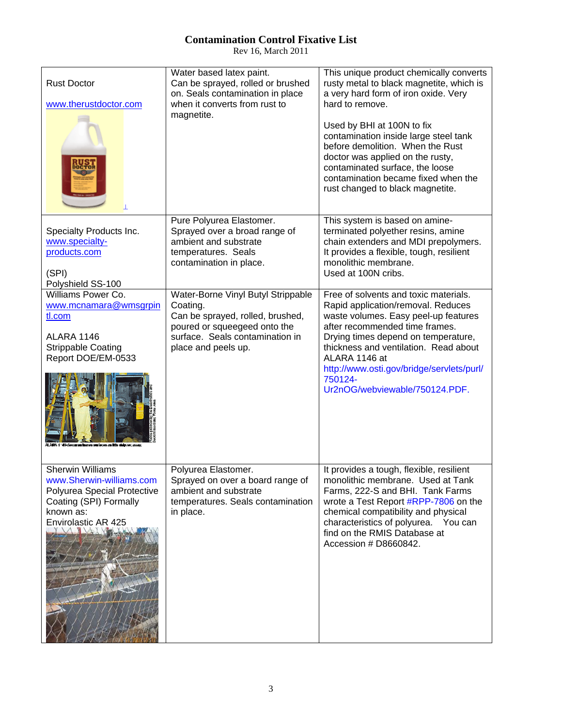| <b>Rust Doctor</b><br>www.therustdoctor.com                                                                                                      | Water based latex paint.<br>Can be sprayed, rolled or brushed<br>on. Seals contamination in place<br>when it converts from rust to<br>magnetite.                             | This unique product chemically converts<br>rusty metal to black magnetite, which is<br>a very hard form of iron oxide. Very<br>hard to remove.<br>Used by BHI at 100N to fix<br>contamination inside large steel tank<br>before demolition. When the Rust<br>doctor was applied on the rusty,<br>contaminated surface, the loose<br>contamination became fixed when the<br>rust changed to black magnetite. |
|--------------------------------------------------------------------------------------------------------------------------------------------------|------------------------------------------------------------------------------------------------------------------------------------------------------------------------------|-------------------------------------------------------------------------------------------------------------------------------------------------------------------------------------------------------------------------------------------------------------------------------------------------------------------------------------------------------------------------------------------------------------|
| Specialty Products Inc.<br>www.specialty-<br>products.com<br>(SPI)<br>Polyshield SS-100                                                          | Pure Polyurea Elastomer.<br>Sprayed over a broad range of<br>ambient and substrate<br>temperatures. Seals<br>contamination in place.                                         | This system is based on amine-<br>terminated polyether resins, amine<br>chain extenders and MDI prepolymers.<br>It provides a flexible, tough, resilient<br>monolithic membrane.<br>Used at 100N cribs.                                                                                                                                                                                                     |
| Williams Power Co.<br>www.mcnamara@wmsgrpin<br>tl.com<br>ALARA 1146<br><b>Strippable Coating</b><br>Report DOE/EM-0533                           | Water-Borne Vinyl Butyl Strippable<br>Coating.<br>Can be sprayed, rolled, brushed,<br>poured or squeegeed onto the<br>surface. Seals contamination in<br>place and peels up. | Free of solvents and toxic materials.<br>Rapid application/removal. Reduces<br>waste volumes. Easy peel-up features<br>after recommended time frames.<br>Drying times depend on temperature,<br>thickness and ventilation. Read about<br>ALARA 1146 at<br>http://www.osti.gov/bridge/servlets/purl/<br>750124-<br>Ur2nOG/webviewable/750124.PDF.                                                            |
| <b>Sherwin Williams</b><br>www.Sherwin-williams.com<br>Polyurea Special Protective<br>Coating (SPI) Formally<br>known as:<br>Envirolastic AR 425 | Polyurea Elastomer.<br>Sprayed on over a board range of<br>ambient and substrate<br>temperatures. Seals contamination<br>in place.                                           | It provides a tough, flexible, resilient<br>monolithic membrane. Used at Tank<br>Farms, 222-S and BHI. Tank Farms<br>wrote a Test Report #RPP-7806 on the<br>chemical compatibility and physical<br>characteristics of polyurea. You can<br>find on the RMIS Database at<br>Accession # D8660842.                                                                                                           |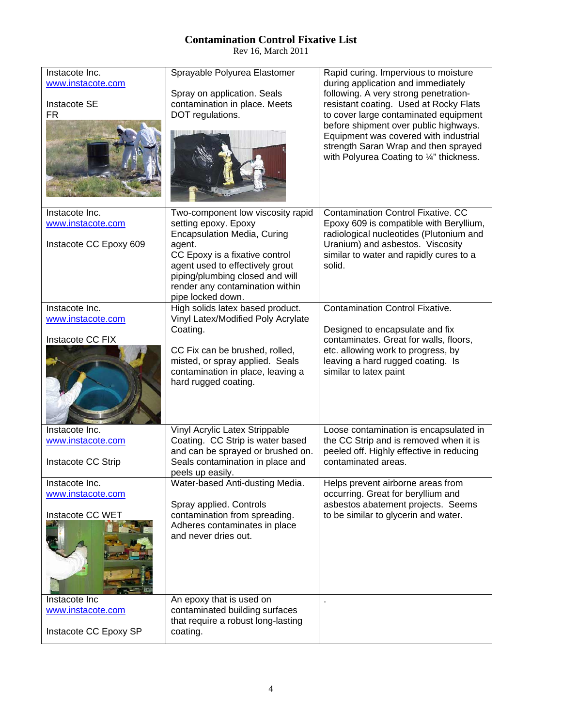| Instacote Inc.<br>www.instacote.com<br>Instacote SE<br><b>FR</b> | Sprayable Polyurea Elastomer<br>Spray on application. Seals<br>contamination in place. Meets<br>DOT regulations.                                                                                                                                                          | Rapid curing. Impervious to moisture<br>during application and immediately<br>following. A very strong penetration-<br>resistant coating. Used at Rocky Flats<br>to cover large contaminated equipment<br>before shipment over public highways.<br>Equipment was covered with industrial<br>strength Saran Wrap and then sprayed<br>with Polyurea Coating to 1/4" thickness. |
|------------------------------------------------------------------|---------------------------------------------------------------------------------------------------------------------------------------------------------------------------------------------------------------------------------------------------------------------------|------------------------------------------------------------------------------------------------------------------------------------------------------------------------------------------------------------------------------------------------------------------------------------------------------------------------------------------------------------------------------|
| Instacote Inc.<br>www.instacote.com<br>Instacote CC Epoxy 609    | Two-component low viscosity rapid<br>setting epoxy. Epoxy<br><b>Encapsulation Media, Curing</b><br>agent.<br>CC Epoxy is a fixative control<br>agent used to effectively grout<br>piping/plumbing closed and will<br>render any contamination within<br>pipe locked down. | <b>Contamination Control Fixative. CC</b><br>Epoxy 609 is compatible with Beryllium,<br>radiological nucleotides (Plutonium and<br>Uranium) and asbestos. Viscosity<br>similar to water and rapidly cures to a<br>solid.                                                                                                                                                     |
| Instacote Inc.<br>www.instacote.com<br>Instacote CC FIX          | High solids latex based product.<br>Vinyl Latex/Modified Poly Acrylate<br>Coating.<br>CC Fix can be brushed, rolled,<br>misted, or spray applied. Seals<br>contamination in place, leaving a<br>hard rugged coating.                                                      | <b>Contamination Control Fixative.</b><br>Designed to encapsulate and fix<br>contaminates. Great for walls, floors,<br>etc. allowing work to progress, by<br>leaving a hard rugged coating. Is<br>similar to latex paint                                                                                                                                                     |
| Instacote Inc.<br>www.instacote.com<br>Instacote CC Strip        | Vinyl Acrylic Latex Strippable<br>Coating. CC Strip is water based<br>and can be sprayed or brushed on.<br>Seals contamination in place and<br>peels up easily.                                                                                                           | Loose contamination is encapsulated in<br>the CC Strip and is removed when it is<br>peeled off. Highly effective in reducing<br>contaminated areas.                                                                                                                                                                                                                          |
| Instacote Inc.<br>www.instacote.com<br>Instacote CC WET          | Water-based Anti-dusting Media.<br>Spray applied. Controls<br>contamination from spreading.<br>Adheres contaminates in place<br>and never dries out.                                                                                                                      | Helps prevent airborne areas from<br>occurring. Great for beryllium and<br>asbestos abatement projects. Seems<br>to be similar to glycerin and water.                                                                                                                                                                                                                        |
| Instacote Inc<br>www.instacote.com<br>Instacote CC Epoxy SP      | An epoxy that is used on<br>contaminated building surfaces<br>that require a robust long-lasting<br>coating.                                                                                                                                                              |                                                                                                                                                                                                                                                                                                                                                                              |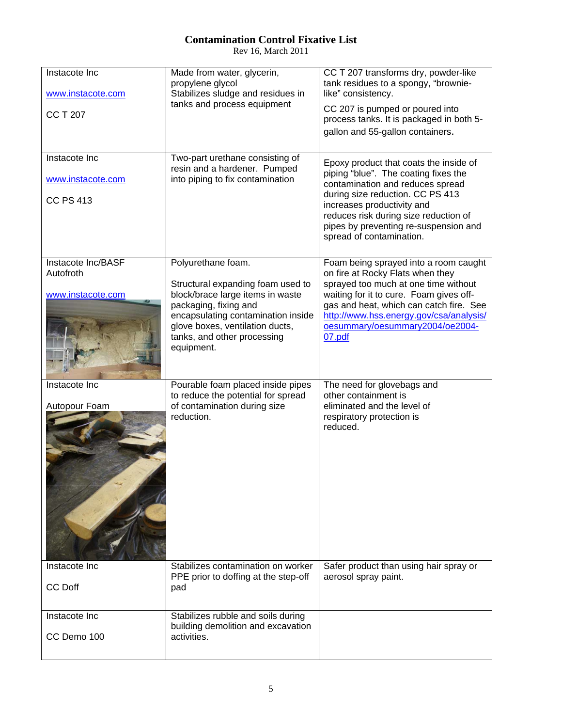| Instacote Inc<br>www.instacote.com<br><b>CC T 207</b>  | Made from water, glycerin,<br>propylene glycol<br>Stabilizes sludge and residues in<br>tanks and process equipment                                                                                                                         | CC T 207 transforms dry, powder-like<br>tank residues to a spongy, "brownie-<br>like" consistency.<br>CC 207 is pumped or poured into<br>process tanks. It is packaged in both 5-<br>gallon and 55-gallon containers.                                                                              |
|--------------------------------------------------------|--------------------------------------------------------------------------------------------------------------------------------------------------------------------------------------------------------------------------------------------|----------------------------------------------------------------------------------------------------------------------------------------------------------------------------------------------------------------------------------------------------------------------------------------------------|
| Instacote Inc<br>www.instacote.com<br><b>CC PS 413</b> | Two-part urethane consisting of<br>resin and a hardener. Pumped<br>into piping to fix contamination                                                                                                                                        | Epoxy product that coats the inside of<br>piping "blue". The coating fixes the<br>contamination and reduces spread<br>during size reduction. CC PS 413<br>increases productivity and<br>reduces risk during size reduction of<br>pipes by preventing re-suspension and<br>spread of contamination. |
| Instacote Inc/BASF<br>Autofroth<br>www.instacote.com   | Polyurethane foam.<br>Structural expanding foam used to<br>block/brace large items in waste<br>packaging, fixing and<br>encapsulating contamination inside<br>glove boxes, ventilation ducts,<br>tanks, and other processing<br>equipment. | Foam being sprayed into a room caught<br>on fire at Rocky Flats when they<br>sprayed too much at one time without<br>waiting for it to cure. Foam gives off-<br>gas and heat, which can catch fire. See<br>http://www.hss.energy.gov/csa/analysis/<br>oesummary/oesummary2004/oe2004-<br>07.pdf    |
| Instacote Inc<br>Autopour Foam                         | Pourable foam placed inside pipes<br>to reduce the potential for spread<br>of contamination during size<br>reduction.                                                                                                                      | The need for glovebags and<br>other containment is<br>eliminated and the level of<br>respiratory protection is<br>reduced.                                                                                                                                                                         |
| Instacote Inc<br><b>CC Doff</b>                        | Stabilizes contamination on worker<br>PPE prior to doffing at the step-off<br>pad                                                                                                                                                          | Safer product than using hair spray or<br>aerosol spray paint.                                                                                                                                                                                                                                     |
| Instacote Inc<br>CC Demo 100                           | Stabilizes rubble and soils during<br>building demolition and excavation<br>activities.                                                                                                                                                    |                                                                                                                                                                                                                                                                                                    |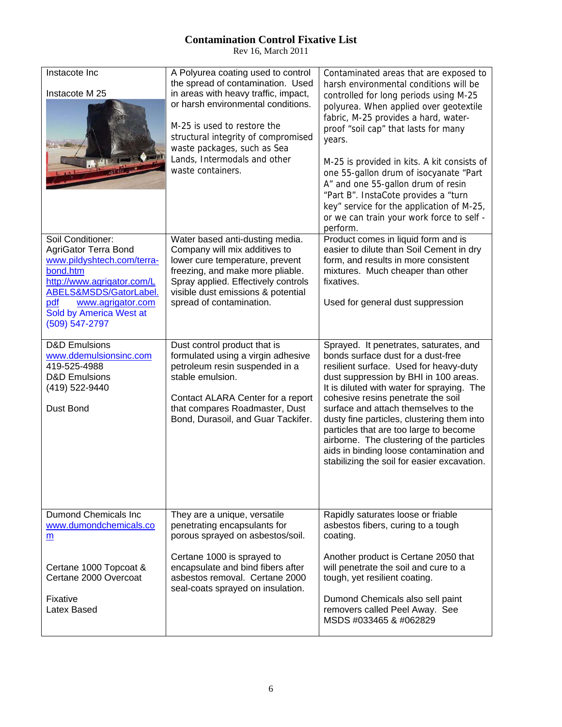| Instacote Inc<br>Instacote M 25                                                                                                                                                                                             | A Polyurea coating used to control<br>the spread of contamination. Used<br>in areas with heavy traffic, impact,<br>or harsh environmental conditions.<br>M-25 is used to restore the<br>structural integrity of compromised<br>waste packages, such as Sea<br>Lands, Intermodals and other<br>waste containers. | Contaminated areas that are exposed to<br>harsh environmental conditions will be<br>controlled for long periods using M-25<br>polyurea. When applied over geotextile<br>fabric, M-25 provides a hard, water-<br>proof "soil cap" that lasts for many<br>years.<br>M-25 is provided in kits. A kit consists of<br>one 55-gallon drum of isocyanate "Part<br>A" and one 55-gallon drum of resin<br>"Part B". InstaCote provides a "turn<br>key" service for the application of M-25,<br>or we can train your work force to self -<br>perform. |
|-----------------------------------------------------------------------------------------------------------------------------------------------------------------------------------------------------------------------------|-----------------------------------------------------------------------------------------------------------------------------------------------------------------------------------------------------------------------------------------------------------------------------------------------------------------|---------------------------------------------------------------------------------------------------------------------------------------------------------------------------------------------------------------------------------------------------------------------------------------------------------------------------------------------------------------------------------------------------------------------------------------------------------------------------------------------------------------------------------------------|
| Soil Conditioner:<br><b>AgriGator Terra Bond</b><br>www.pildyshtech.com/terra-<br>bond.htm<br>http://www.agrigator.com/L<br>ABELS&MSDS/GatorLabel.<br>www.agrigator.com<br>pdf<br>Sold by America West at<br>(509) 547-2797 | Water based anti-dusting media.<br>Company will mix additives to<br>lower cure temperature, prevent<br>freezing, and make more pliable.<br>Spray applied. Effectively controls<br>visible dust emissions & potential<br>spread of contamination.                                                                | Product comes in liquid form and is<br>easier to dilute than Soil Cement in dry<br>form, and results in more consistent<br>mixtures. Much cheaper than other<br>fixatives.<br>Used for general dust suppression                                                                                                                                                                                                                                                                                                                             |
| <b>D&amp;D</b> Emulsions<br>www.ddemulsionsinc.com<br>419-525-4988<br><b>D&amp;D</b> Emulsions<br>(419) 522-9440<br>Dust Bond                                                                                               | Dust control product that is<br>formulated using a virgin adhesive<br>petroleum resin suspended in a<br>stable emulsion.<br>Contact ALARA Center for a report<br>that compares Roadmaster, Dust<br>Bond, Durasoil, and Guar Tackifer.                                                                           | Sprayed. It penetrates, saturates, and<br>bonds surface dust for a dust-free<br>resilient surface. Used for heavy-duty<br>dust suppression by BHI in 100 areas.<br>It is diluted with water for spraying. The<br>cohesive resins penetrate the soil<br>surface and attach themselves to the<br>dusty fine particles, clustering them into<br>particles that are too large to become<br>airborne. The clustering of the particles<br>aids in binding loose contamination and<br>stabilizing the soil for easier excavation.                  |
| Dumond Chemicals Inc<br>www.dumondchemicals.co<br>m                                                                                                                                                                         | They are a unique, versatile<br>penetrating encapsulants for<br>porous sprayed on asbestos/soil.                                                                                                                                                                                                                | Rapidly saturates loose or friable<br>asbestos fibers, curing to a tough<br>coating.                                                                                                                                                                                                                                                                                                                                                                                                                                                        |
| Certane 1000 Topcoat &<br>Certane 2000 Overcoat<br>Fixative<br>Latex Based                                                                                                                                                  | Certane 1000 is sprayed to<br>encapsulate and bind fibers after<br>asbestos removal. Certane 2000<br>seal-coats sprayed on insulation.                                                                                                                                                                          | Another product is Certane 2050 that<br>will penetrate the soil and cure to a<br>tough, yet resilient coating.<br>Dumond Chemicals also sell paint<br>removers called Peel Away. See<br>MSDS #033465 & #062829                                                                                                                                                                                                                                                                                                                              |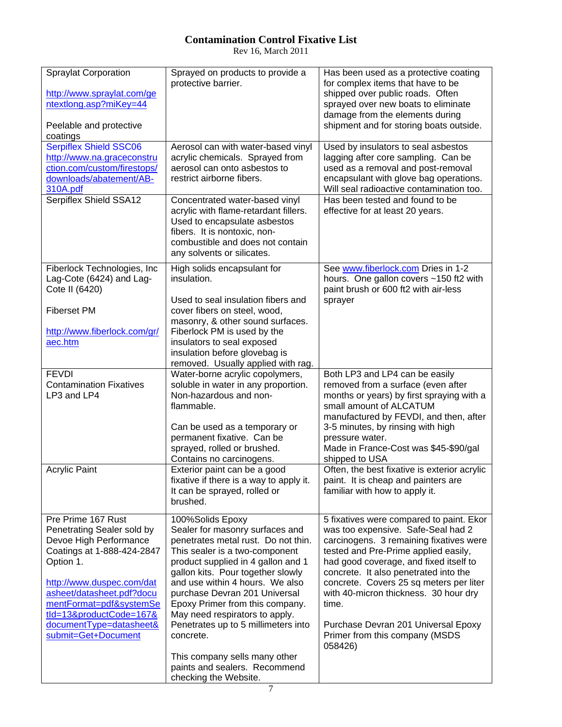| <b>Spraylat Corporation</b><br>http://www.spraylat.com/ge<br>ntextlong.asp?miKey=44<br>Peelable and protective<br>coatings                                                                                                                                                              | Sprayed on products to provide a<br>protective barrier.                                                                                                                                                                                                                                                                                                                                              | Has been used as a protective coating<br>for complex items that have to be<br>shipped over public roads. Often<br>sprayed over new boats to eliminate<br>damage from the elements during<br>shipment and for storing boats outside.                                                                                                                                                                                        |
|-----------------------------------------------------------------------------------------------------------------------------------------------------------------------------------------------------------------------------------------------------------------------------------------|------------------------------------------------------------------------------------------------------------------------------------------------------------------------------------------------------------------------------------------------------------------------------------------------------------------------------------------------------------------------------------------------------|----------------------------------------------------------------------------------------------------------------------------------------------------------------------------------------------------------------------------------------------------------------------------------------------------------------------------------------------------------------------------------------------------------------------------|
| <b>Serpiflex Shield SSC06</b><br>http://www.na.graceconstru<br>ction.com/custom/firestops/<br>downloads/abatement/AB-<br>310A.pdf<br>Serpiflex Shield SSA12                                                                                                                             | Aerosol can with water-based vinyl<br>acrylic chemicals. Sprayed from<br>aerosol can onto asbestos to<br>restrict airborne fibers.<br>Concentrated water-based vinyl<br>acrylic with flame-retardant fillers.<br>Used to encapsulate asbestos                                                                                                                                                        | Used by insulators to seal asbestos<br>lagging after core sampling. Can be<br>used as a removal and post-removal<br>encapsulant with glove bag operations.<br>Will seal radioactive contamination too.<br>Has been tested and found to be<br>effective for at least 20 years.                                                                                                                                              |
|                                                                                                                                                                                                                                                                                         | fibers. It is nontoxic, non-<br>combustible and does not contain<br>any solvents or silicates.                                                                                                                                                                                                                                                                                                       |                                                                                                                                                                                                                                                                                                                                                                                                                            |
| Fiberlock Technologies, Inc.<br>Lag-Cote (6424) and Lag-<br>Cote II (6420)                                                                                                                                                                                                              | High solids encapsulant for<br>insulation.                                                                                                                                                                                                                                                                                                                                                           | See www.fiberlock.com Dries in 1-2<br>hours. One gallon covers ~150 ft2 with<br>paint brush or 600 ft2 with air-less                                                                                                                                                                                                                                                                                                       |
| <b>Fiberset PM</b><br>http://www.fiberlock.com/gr/<br>aec.htm                                                                                                                                                                                                                           | Used to seal insulation fibers and<br>cover fibers on steel, wood,<br>masonry, & other sound surfaces.<br>Fiberlock PM is used by the<br>insulators to seal exposed                                                                                                                                                                                                                                  | sprayer                                                                                                                                                                                                                                                                                                                                                                                                                    |
|                                                                                                                                                                                                                                                                                         | insulation before glovebag is<br>removed. Usually applied with rag.                                                                                                                                                                                                                                                                                                                                  |                                                                                                                                                                                                                                                                                                                                                                                                                            |
| <b>FEVDI</b><br><b>Contamination Fixatives</b><br>LP3 and LP4                                                                                                                                                                                                                           | Water-borne acrylic copolymers,<br>soluble in water in any proportion.<br>Non-hazardous and non-<br>flammable.                                                                                                                                                                                                                                                                                       | Both LP3 and LP4 can be easily<br>removed from a surface (even after<br>months or years) by first spraying with a<br>small amount of ALCATUM<br>manufactured by FEVDI, and then, after                                                                                                                                                                                                                                     |
|                                                                                                                                                                                                                                                                                         | Can be used as a temporary or<br>permanent fixative. Can be<br>sprayed, rolled or brushed.<br>Contains no carcinogens.                                                                                                                                                                                                                                                                               | 3-5 minutes, by rinsing with high<br>pressure water.<br>Made in France-Cost was \$45-\$90/gal<br>shipped to USA                                                                                                                                                                                                                                                                                                            |
| <b>Acrylic Paint</b>                                                                                                                                                                                                                                                                    | Exterior paint can be a good<br>fixative if there is a way to apply it.<br>It can be sprayed, rolled or<br>brushed.                                                                                                                                                                                                                                                                                  | Often, the best fixative is exterior acrylic<br>paint. It is cheap and painters are<br>familiar with how to apply it.                                                                                                                                                                                                                                                                                                      |
| Pre Prime 167 Rust<br>Penetrating Sealer sold by<br>Devoe High Performance<br>Coatings at 1-888-424-2847<br>Option 1.<br>http://www.duspec.com/dat<br>asheet/datasheet.pdf?docu<br>mentFormat=pdf&systemSe<br>tId=13&productCode=167&<br>documentType=datasheet&<br>submit=Get+Document | 100%Solids Epoxy<br>Sealer for masonry surfaces and<br>penetrates metal rust. Do not thin.<br>This sealer is a two-component<br>product supplied in 4 gallon and 1<br>gallon kits. Pour together slowly<br>and use within 4 hours. We also<br>purchase Devran 201 Universal<br>Epoxy Primer from this company.<br>May need respirators to apply.<br>Penetrates up to 5 millimeters into<br>concrete. | 5 fixatives were compared to paint. Ekor<br>was too expensive. Safe-Seal had 2<br>carcinogens. 3 remaining fixatives were<br>tested and Pre-Prime applied easily,<br>had good coverage, and fixed itself to<br>concrete. It also penetrated into the<br>concrete. Covers 25 sq meters per liter<br>with 40-micron thickness. 30 hour dry<br>time.<br>Purchase Devran 201 Universal Epoxy<br>Primer from this company (MSDS |
|                                                                                                                                                                                                                                                                                         | This company sells many other<br>paints and sealers. Recommend<br>checking the Website.                                                                                                                                                                                                                                                                                                              | 058426)                                                                                                                                                                                                                                                                                                                                                                                                                    |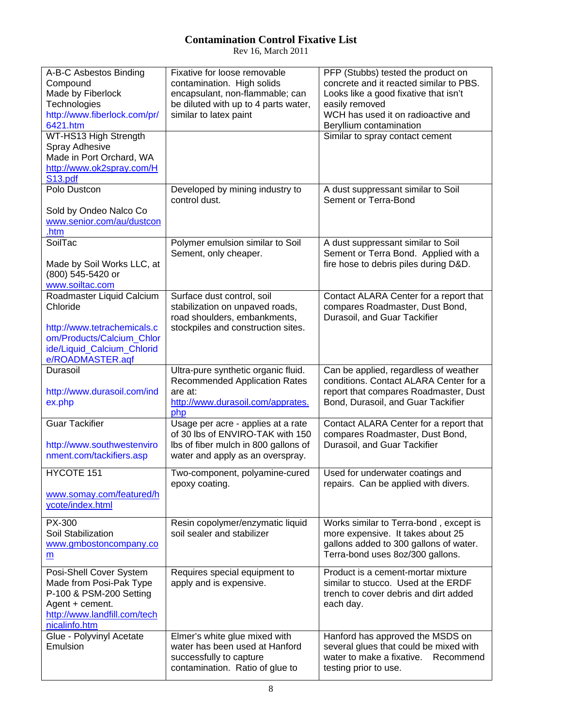| A-B-C Asbestos Binding<br>Compound<br>Made by Fiberlock<br>Technologies<br>http://www.fiberlock.com/pr/<br>6421.htm                                 | Fixative for loose removable<br>contamination. High solids<br>encapsulant, non-flammable; can<br>be diluted with up to 4 parts water,<br>similar to latex paint | PFP (Stubbs) tested the product on<br>concrete and it reacted similar to PBS.<br>Looks like a good fixative that isn't<br>easily removed<br>WCH has used it on radioactive and<br>Beryllium contamination |
|-----------------------------------------------------------------------------------------------------------------------------------------------------|-----------------------------------------------------------------------------------------------------------------------------------------------------------------|-----------------------------------------------------------------------------------------------------------------------------------------------------------------------------------------------------------|
| WT-HS13 High Strength<br>Spray Adhesive<br>Made in Port Orchard, WA<br>http://www.ok2spray.com/H<br>S <sub>13</sub> .pdf                            |                                                                                                                                                                 | Similar to spray contact cement                                                                                                                                                                           |
| Polo Dustcon<br>Sold by Ondeo Nalco Co<br>www.senior.com/au/dustcon<br>.htm                                                                         | Developed by mining industry to<br>control dust.                                                                                                                | A dust suppressant similar to Soil<br>Sement or Terra-Bond                                                                                                                                                |
| SoilTac<br>Made by Soil Works LLC, at<br>(800) 545-5420 or<br>www.soiltac.com                                                                       | Polymer emulsion similar to Soil<br>Sement, only cheaper.                                                                                                       | A dust suppressant similar to Soil<br>Sement or Terra Bond. Applied with a<br>fire hose to debris piles during D&D.                                                                                       |
| Roadmaster Liquid Calcium<br>Chloride<br>http://www.tetrachemicals.c<br>om/Products/Calcium_Chlor<br>ide/Liquid_Calcium_Chlorid<br>e/ROADMASTER.aqf | Surface dust control, soil<br>stabilization on unpaved roads,<br>road shoulders, embankments,<br>stockpiles and construction sites.                             | Contact ALARA Center for a report that<br>compares Roadmaster, Dust Bond,<br>Durasoil, and Guar Tackifier                                                                                                 |
| Durasoil<br>http://www.durasoil.com/ind<br>ex.php                                                                                                   | Ultra-pure synthetic organic fluid.<br><b>Recommended Application Rates</b><br>are at:<br>http://www.durasoil.com/apprates.<br>php                              | Can be applied, regardless of weather<br>conditions. Contact ALARA Center for a<br>report that compares Roadmaster, Dust<br>Bond, Durasoil, and Guar Tackifier                                            |
| <b>Guar Tackifier</b><br>http://www.southwestenviro<br>nment.com/tackifiers.asp                                                                     | Usage per acre - applies at a rate<br>of 30 lbs of ENVIRO-TAK with 150<br>Ibs of fiber mulch in 800 gallons of<br>water and apply as an overspray.              | Contact ALARA Center for a report that<br>compares Roadmaster, Dust Bond,<br>Durasoil, and Guar Tackifier                                                                                                 |
| HYCOTE 151<br>www.somay.com/featured/h<br>ycote/index.html                                                                                          | Two-component, polyamine-cured<br>epoxy coating.                                                                                                                | Used for underwater coatings and<br>repairs. Can be applied with divers.                                                                                                                                  |
| PX-300<br>Soil Stabilization<br>www.gmbostoncompany.co<br>m                                                                                         | Resin copolymer/enzymatic liquid<br>soil sealer and stabilizer                                                                                                  | Works similar to Terra-bond, except is<br>more expensive. It takes about 25<br>gallons added to 300 gallons of water.<br>Terra-bond uses 8oz/300 gallons.                                                 |
| Posi-Shell Cover System<br>Made from Posi-Pak Type<br>P-100 & PSM-200 Setting<br>Agent + cement.<br>http://www.landfill.com/tech<br>nicalinfo.htm   | Requires special equipment to<br>apply and is expensive.                                                                                                        | Product is a cement-mortar mixture<br>similar to stucco. Used at the ERDF<br>trench to cover debris and dirt added<br>each day.                                                                           |
| Glue - Polyvinyl Acetate<br>Emulsion                                                                                                                | Elmer's white glue mixed with<br>water has been used at Hanford<br>successfully to capture<br>contamination. Ratio of glue to                                   | Hanford has approved the MSDS on<br>several glues that could be mixed with<br>water to make a fixative.<br>Recommend<br>testing prior to use.                                                             |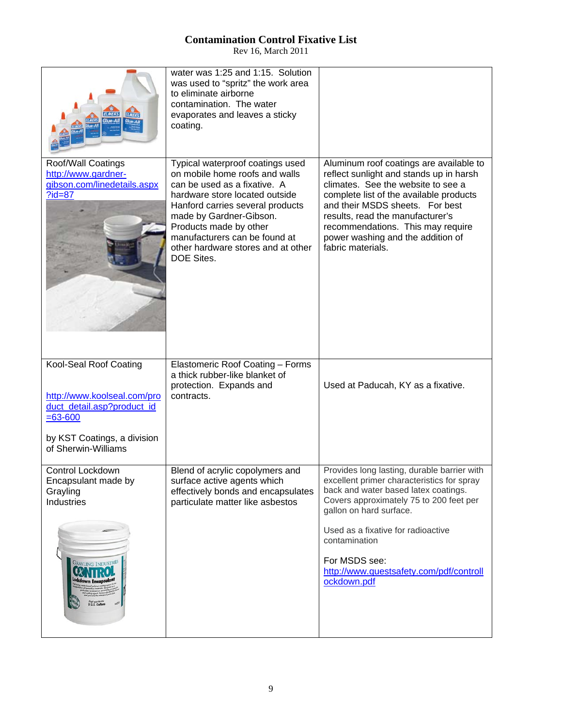|                                                                                                                                    | water was 1:25 and 1:15. Solution<br>was used to "spritz" the work area<br>to eliminate airborne<br>contamination. The water<br>evaporates and leaves a sticky<br>coating.                                                                                                                                         |                                                                                                                                                                                                                                                                                                                                           |
|------------------------------------------------------------------------------------------------------------------------------------|--------------------------------------------------------------------------------------------------------------------------------------------------------------------------------------------------------------------------------------------------------------------------------------------------------------------|-------------------------------------------------------------------------------------------------------------------------------------------------------------------------------------------------------------------------------------------------------------------------------------------------------------------------------------------|
| Roof/Wall Coatings<br>http://www.gardner-<br>gibson.com/linedetails.aspx<br>$?id = 87$                                             | Typical waterproof coatings used<br>on mobile home roofs and walls<br>can be used as a fixative. A<br>hardware store located outside<br>Hanford carries several products<br>made by Gardner-Gibson.<br>Products made by other<br>manufacturers can be found at<br>other hardware stores and at other<br>DOE Sites. | Aluminum roof coatings are available to<br>reflect sunlight and stands up in harsh<br>climates. See the website to see a<br>complete list of the available products<br>and their MSDS sheets. For best<br>results, read the manufacturer's<br>recommendations. This may require<br>power washing and the addition of<br>fabric materials. |
| Kool-Seal Roof Coating<br>http://www.koolseal.com/pro<br>duct_detail.asp?product_id<br>$= 63 - 600$<br>by KST Coatings, a division | Elastomeric Roof Coating - Forms<br>a thick rubber-like blanket of<br>protection. Expands and<br>contracts.                                                                                                                                                                                                        | Used at Paducah, KY as a fixative.                                                                                                                                                                                                                                                                                                        |
| of Sherwin-Williams                                                                                                                |                                                                                                                                                                                                                                                                                                                    |                                                                                                                                                                                                                                                                                                                                           |
| Control Lockdown<br>Encapsulant made by<br>Grayling<br>Industries<br><b>GRAYLING INDUSTRIE</b>                                     | Blend of acrylic copolymers and<br>surface active agents which<br>effectively bonds and encapsulates<br>particulate matter like asbestos                                                                                                                                                                           | Provides long lasting, durable barrier with<br>excellent primer characteristics for spray<br>back and water based latex coatings.<br>Covers approximately 75 to 200 feet per<br>gallon on hard surface.<br>Used as a fixative for radioactive<br>contamination<br>For MSDS see:<br>http://www.questsafety.com/pdf/controll<br>ockdown.pdf |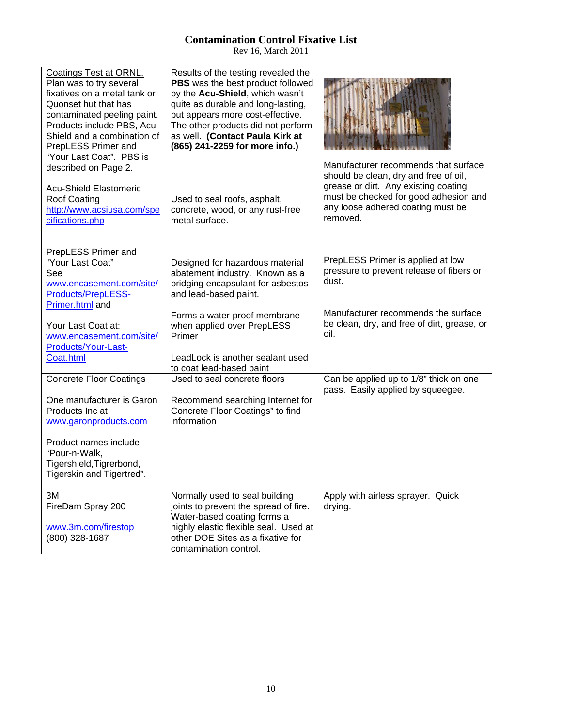| <b>Coatings Test at ORNL.</b><br>Plan was to try several<br>fixatives on a metal tank or<br>Quonset hut that has<br>contaminated peeling paint.<br>Products include PBS, Acu-<br>Shield and a combination of<br>PrepLESS Primer and<br>"Your Last Coat". PBS is<br>described on Page 2.<br><b>Acu-Shield Elastomeric</b><br><b>Roof Coating</b><br>http://www.acsiusa.com/spe<br>cifications.php | Results of the testing revealed the<br>PBS was the best product followed<br>by the Acu-Shield, which wasn't<br>quite as durable and long-lasting,<br>but appears more cost-effective.<br>The other products did not perform<br>as well. (Contact Paula Kirk at<br>(865) 241-2259 for more info.)<br>Used to seal roofs, asphalt,<br>concrete, wood, or any rust-free<br>metal surface. | Manufacturer recommends that surface<br>should be clean, dry and free of oil,<br>grease or dirt. Any existing coating<br>must be checked for good adhesion and<br>any loose adhered coating must be<br>removed. |
|--------------------------------------------------------------------------------------------------------------------------------------------------------------------------------------------------------------------------------------------------------------------------------------------------------------------------------------------------------------------------------------------------|----------------------------------------------------------------------------------------------------------------------------------------------------------------------------------------------------------------------------------------------------------------------------------------------------------------------------------------------------------------------------------------|-----------------------------------------------------------------------------------------------------------------------------------------------------------------------------------------------------------------|
| PrepLESS Primer and<br>"Your Last Coat"<br>See<br>www.encasement.com/site/<br>Products/PrepLESS-<br>Primer.html and<br>Your Last Coat at:<br>www.encasement.com/site/<br>Products/Your-Last-<br>Coat.html                                                                                                                                                                                        | Designed for hazardous material<br>abatement industry. Known as a<br>bridging encapsulant for asbestos<br>and lead-based paint.<br>Forms a water-proof membrane<br>when applied over PrepLESS<br>Primer<br>LeadLock is another sealant used<br>to coat lead-based paint                                                                                                                | PrepLESS Primer is applied at low<br>pressure to prevent release of fibers or<br>dust.<br>Manufacturer recommends the surface<br>be clean, dry, and free of dirt, grease, or<br>oil.                            |
| <b>Concrete Floor Coatings</b><br>One manufacturer is Garon<br>Products Inc at<br>www.garonproducts.com<br>Product names include<br>"Pour-n-Walk,<br>Tigershield, Tigrerbond,<br>Tigerskin and Tigertred".                                                                                                                                                                                       | Used to seal concrete floors<br>Recommend searching Internet for<br>Concrete Floor Coatings" to find<br>information                                                                                                                                                                                                                                                                    | Can be applied up to 1/8" thick on one<br>pass. Easily applied by squeegee.                                                                                                                                     |
| 3M<br>FireDam Spray 200<br>www.3m.com/firestop<br>(800) 328-1687                                                                                                                                                                                                                                                                                                                                 | Normally used to seal building<br>joints to prevent the spread of fire.<br>Water-based coating forms a<br>highly elastic flexible seal. Used at<br>other DOE Sites as a fixative for<br>contamination control.                                                                                                                                                                         | Apply with airless sprayer. Quick<br>drying.                                                                                                                                                                    |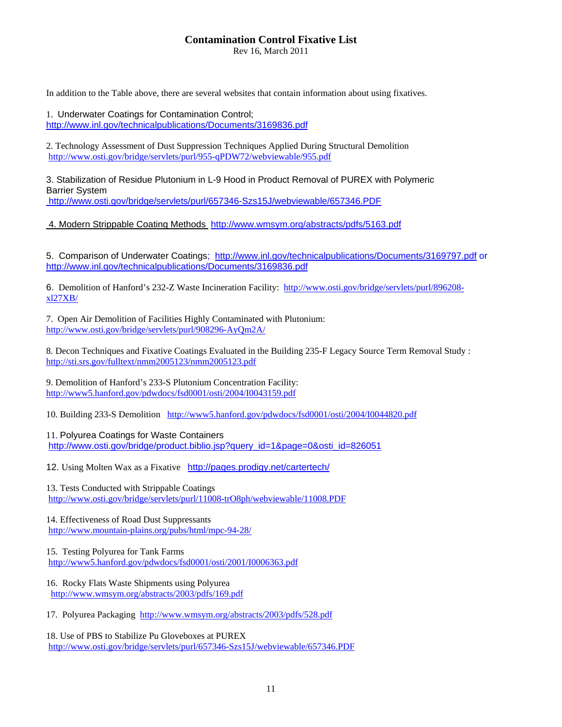Rev 16, March 2011

In addition to the Table above, there are several websites that contain information about using fixatives.

1. Underwater Coatings for Contamination Control; http://www.inl.gov/technicalpublications/Documents/3169836.pdf

2. Technology Assessment of Dust Suppression Techniques Applied During Structural Demolition http://www.osti.gov/bridge/servlets/purl/955-qPDW72/webviewable/955.pdf

3. Stabilization of Residue Plutonium in L-9 Hood in Product Removal of PUREX with Polymeric Barrier System http://www.osti.gov/bridge/servlets/purl/657346-Szs15J/webviewable/657346.PDF

4. Modern Strippable Coating Methods http://www.wmsym.org/abstracts/pdfs/5163.pdf

5. Comparison of Underwater Coatings; http://www.inl.gov/technicalpublications/Documents/3169797.pdf or http://www.inl.gov/technicalpublications/Documents/3169836.pdf

6. Demolition of Hanford's 232-Z Waste Incineration Facility: http://www.osti.gov/bridge/servlets/purl/896208 xl27XB/

7. Open Air Demolition of Facilities Highly Contaminated with Plutonium: http://www.osti.gov/bridge/servlets/purl/908296-AyQm2A/

8. Decon Techniques and Fixative Coatings Evaluated in the Building 235-F Legacy Source Term Removal Study : http://sti.srs.gov/fulltext/nmm2005123/nmm2005123.pdf

9. Demolition of Hanford's 233-S Plutonium Concentration Facility: http://www5.hanford.gov/pdwdocs/fsd0001/osti/2004/I0043159.pdf

10. Building 233-S Demolition http://www5.hanford.gov/pdwdocs/fsd0001/osti/2004/I0044820.pdf

11. Polyurea Coatings for Waste Containers http://www.osti.gov/bridge/product.biblio.jsp?query\_id=1&page=0&osti\_id=826051

12. Using Molten Wax as a Fixative http://pages.prodigy.net/cartertech/

13. Tests Conducted with Strippable Coatings http://www.osti.gov/bridge/servlets/purl/11008-trO8ph/webviewable/11008.PDF

14. Effectiveness of Road Dust Suppressants http://www.mountain-plains.org/pubs/html/mpc-94-28/

#### 15. Testing Polyurea for Tank Farms http://www5.hanford.gov/pdwdocs/fsd0001/osti/2001/I0006363.pdf

16. Rocky Flats Waste Shipments using Polyurea http://www.wmsym.org/abstracts/2003/pdfs/169.pdf

17. Polyurea Packaging http://www.wmsym.org/abstracts/2003/pdfs/528.pdf

18. Use of PBS to Stabilize Pu Gloveboxes at PUREX http://www.osti.gov/bridge/servlets/purl/657346-Szs15J/webviewable/657346.PDF